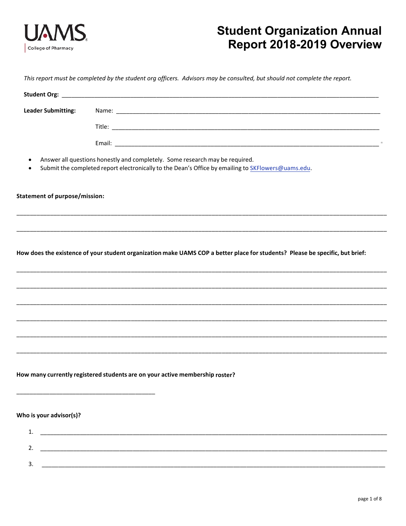

# **Student Organization Annual** Report 2018-2019 Overview

This report must be completed by the student org officers. Advisors may be consulted, but should not complete the report.

| <b>Leader Submitting:</b>            |                                                                                                                                                                                    |
|--------------------------------------|------------------------------------------------------------------------------------------------------------------------------------------------------------------------------------|
|                                      |                                                                                                                                                                                    |
|                                      |                                                                                                                                                                                    |
|                                      | Answer all questions honestly and completely. Some research may be required.<br>Submit the completed report electronically to the Dean's Office by emailing to SKFlowers@uams.edu. |
| <b>Statement of purpose/mission:</b> |                                                                                                                                                                                    |
|                                      |                                                                                                                                                                                    |
|                                      |                                                                                                                                                                                    |
|                                      | How does the existence of your student organization make UAMS COP a better place for students? Please be specific, but brief:                                                      |
|                                      |                                                                                                                                                                                    |
|                                      |                                                                                                                                                                                    |
|                                      | ,我们的人们就是一个人们的人们,我们的人们就是一个人们的人们,我们的人们就是一个人们的人们,我们的人们就是一个人们的人们,我们的人们就是一个人们的人们的人们,我<br>第1595章 我们的人们的人们,我们的人们的人们的人们,我们的人们的人们的人们,我们的人们的人们的人们,我们的人们的人们,我们的人们的人们,我们的人们的人们,我               |
|                                      |                                                                                                                                                                                    |
|                                      |                                                                                                                                                                                    |
|                                      | How many currently registered students are on your active membership roster?                                                                                                       |
| Who is your advisor(s)?              |                                                                                                                                                                                    |
| 1.                                   |                                                                                                                                                                                    |
| 2.                                   | <u> 1989 - Johann John Stoff, deutscher Stoffen und der Stoffen und der Stoffen und der Stoffen und der Stoffen</u>                                                                |
| २                                    |                                                                                                                                                                                    |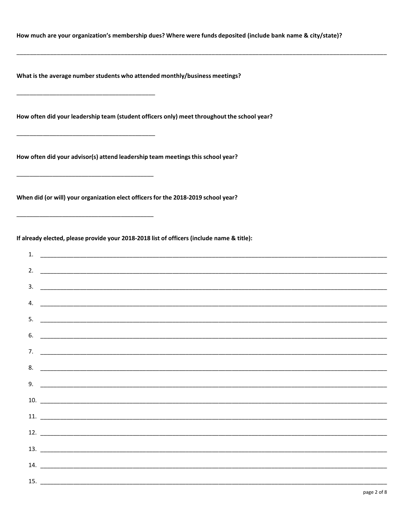How much are your organization's membership dues? Where were funds deposited (include bank name & city/state)?

What is the average number students who attended monthly/business meetings?

How often did your leadership team (student officers only) meet throughout the school year?

How often did your advisor(s) attend leadership team meetings this school year?

When did (or will) your organization elect officers for the 2018-2019 school year?

If already elected, please provide your 2018-2018 list of officers (include name & title):

| 1. $\overline{\phantom{a}}$                                                                                                                                                                                                                                                                                            |  |  |
|------------------------------------------------------------------------------------------------------------------------------------------------------------------------------------------------------------------------------------------------------------------------------------------------------------------------|--|--|
|                                                                                                                                                                                                                                                                                                                        |  |  |
|                                                                                                                                                                                                                                                                                                                        |  |  |
| $3.$ $\frac{1}{2}$ $\frac{1}{2}$ $\frac{1}{2}$ $\frac{1}{2}$ $\frac{1}{2}$ $\frac{1}{2}$ $\frac{1}{2}$ $\frac{1}{2}$ $\frac{1}{2}$ $\frac{1}{2}$ $\frac{1}{2}$ $\frac{1}{2}$ $\frac{1}{2}$ $\frac{1}{2}$ $\frac{1}{2}$ $\frac{1}{2}$ $\frac{1}{2}$ $\frac{1}{2}$ $\frac{1}{2}$ $\frac{1}{2}$ $\frac{1}{2}$ $\frac{1}{$ |  |  |
| 4. $\overline{\phantom{a}}$                                                                                                                                                                                                                                                                                            |  |  |
|                                                                                                                                                                                                                                                                                                                        |  |  |
| $6.$ $\overline{\phantom{a}}$                                                                                                                                                                                                                                                                                          |  |  |
|                                                                                                                                                                                                                                                                                                                        |  |  |
|                                                                                                                                                                                                                                                                                                                        |  |  |
|                                                                                                                                                                                                                                                                                                                        |  |  |
| $9.$ $\overline{\phantom{a}}$                                                                                                                                                                                                                                                                                          |  |  |
| $10.$ $\overline{\phantom{a}}$                                                                                                                                                                                                                                                                                         |  |  |
|                                                                                                                                                                                                                                                                                                                        |  |  |
|                                                                                                                                                                                                                                                                                                                        |  |  |
|                                                                                                                                                                                                                                                                                                                        |  |  |
|                                                                                                                                                                                                                                                                                                                        |  |  |
|                                                                                                                                                                                                                                                                                                                        |  |  |
|                                                                                                                                                                                                                                                                                                                        |  |  |
|                                                                                                                                                                                                                                                                                                                        |  |  |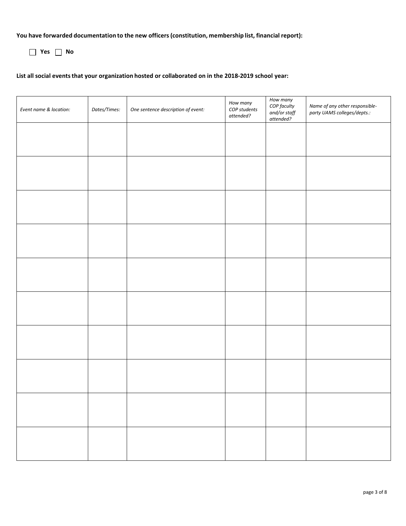**You have forwarded documentation to the new officers (constitution, membership list, financial report):** 

**Yes No**

#### **List all social eventsthat your organization hosted or collaborated on in the 2018-2019 school year:**

| Event name & location: | Dates/Times: | One sentence description of event: | How many<br>COP students<br>attended? | How many<br>COP faculty<br>and/or staff<br>$attended?$ | Name of any other responsible-<br>party UAMS colleges/depts.: |
|------------------------|--------------|------------------------------------|---------------------------------------|--------------------------------------------------------|---------------------------------------------------------------|
|                        |              |                                    |                                       |                                                        |                                                               |
|                        |              |                                    |                                       |                                                        |                                                               |
|                        |              |                                    |                                       |                                                        |                                                               |
|                        |              |                                    |                                       |                                                        |                                                               |
|                        |              |                                    |                                       |                                                        |                                                               |
|                        |              |                                    |                                       |                                                        |                                                               |
|                        |              |                                    |                                       |                                                        |                                                               |
|                        |              |                                    |                                       |                                                        |                                                               |
|                        |              |                                    |                                       |                                                        |                                                               |
|                        |              |                                    |                                       |                                                        |                                                               |
|                        |              |                                    |                                       |                                                        |                                                               |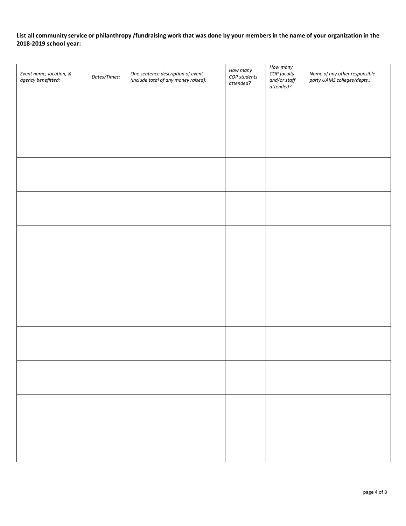### **List all community service or philanthropy /fundraising work that was done by your members in the name of your organization in the 2018-2019 school year:**

| Event name, location, &<br>agency benefitted: | Dates/Times: | One sentence description of event<br>(include total of any money raised): | How many<br>COP students<br>attended? | How many<br>COP faculty<br>and/or staff<br>attended? | Name of any other responsible-<br>party UAMS colleges/depts.: |
|-----------------------------------------------|--------------|---------------------------------------------------------------------------|---------------------------------------|------------------------------------------------------|---------------------------------------------------------------|
|                                               |              |                                                                           |                                       |                                                      |                                                               |
|                                               |              |                                                                           |                                       |                                                      |                                                               |
|                                               |              |                                                                           |                                       |                                                      |                                                               |
|                                               |              |                                                                           |                                       |                                                      |                                                               |
|                                               |              |                                                                           |                                       |                                                      |                                                               |
|                                               |              |                                                                           |                                       |                                                      |                                                               |
|                                               |              |                                                                           |                                       |                                                      |                                                               |
|                                               |              |                                                                           |                                       |                                                      |                                                               |
|                                               |              |                                                                           |                                       |                                                      |                                                               |
|                                               |              |                                                                           |                                       |                                                      |                                                               |
|                                               |              |                                                                           |                                       |                                                      |                                                               |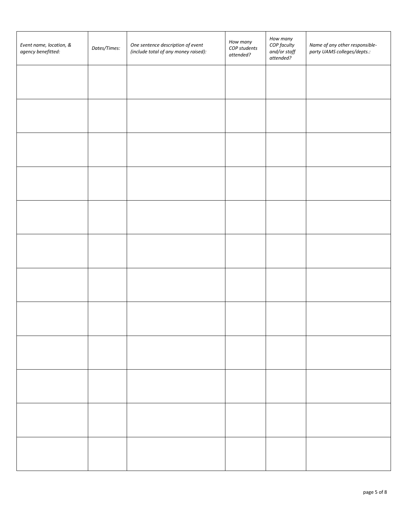| Event name, location, &<br>agency benefitted: | Dates/Times: | One sentence description of event<br>(include total of any money raised): | How many<br>COP students<br>attended? | How many<br>COP faculty<br>and/or staff<br>attended? | Name of any other responsible-<br>party UAMS colleges/depts.: |
|-----------------------------------------------|--------------|---------------------------------------------------------------------------|---------------------------------------|------------------------------------------------------|---------------------------------------------------------------|
|                                               |              |                                                                           |                                       |                                                      |                                                               |
|                                               |              |                                                                           |                                       |                                                      |                                                               |
|                                               |              |                                                                           |                                       |                                                      |                                                               |
|                                               |              |                                                                           |                                       |                                                      |                                                               |
|                                               |              |                                                                           |                                       |                                                      |                                                               |
|                                               |              |                                                                           |                                       |                                                      |                                                               |
|                                               |              |                                                                           |                                       |                                                      |                                                               |
|                                               |              |                                                                           |                                       |                                                      |                                                               |
|                                               |              |                                                                           |                                       |                                                      |                                                               |
|                                               |              |                                                                           |                                       |                                                      |                                                               |
|                                               |              |                                                                           |                                       |                                                      |                                                               |
|                                               |              |                                                                           |                                       |                                                      |                                                               |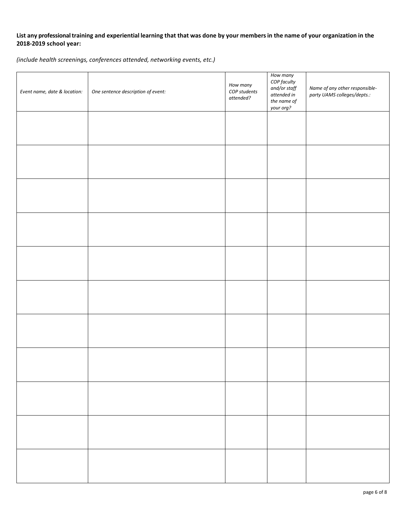### **List any professionaltraining and experiential learning that that was done by your members in the name of your organization in the 2018-2019 school year:**

*(include health screenings, conferences attended, networking events, etc.)*

| Event name, date & location: | One sentence description of event: | How many<br>COP students<br>attended? | How many<br>COP faculty<br>$and/or\ staff$<br>attended in<br>the name of<br>your org? | Name of any other responsible-<br>party UAMS colleges/depts.: |
|------------------------------|------------------------------------|---------------------------------------|---------------------------------------------------------------------------------------|---------------------------------------------------------------|
|                              |                                    |                                       |                                                                                       |                                                               |
|                              |                                    |                                       |                                                                                       |                                                               |
|                              |                                    |                                       |                                                                                       |                                                               |
|                              |                                    |                                       |                                                                                       |                                                               |
|                              |                                    |                                       |                                                                                       |                                                               |
|                              |                                    |                                       |                                                                                       |                                                               |
|                              |                                    |                                       |                                                                                       |                                                               |
|                              |                                    |                                       |                                                                                       |                                                               |
|                              |                                    |                                       |                                                                                       |                                                               |
|                              |                                    |                                       |                                                                                       |                                                               |
|                              |                                    |                                       |                                                                                       |                                                               |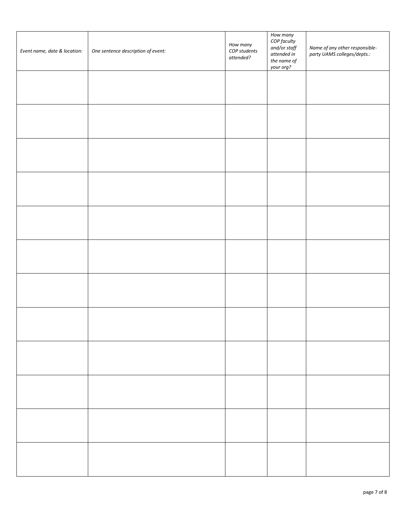| Event name, date & location: | One sentence description of event: | How many<br>COP students<br>attended? | How many<br>COP faculty<br>and/or staff<br>attended in<br>the name of<br>your org? | Name of any other responsible-<br>party UAMS colleges/depts.: |
|------------------------------|------------------------------------|---------------------------------------|------------------------------------------------------------------------------------|---------------------------------------------------------------|
|                              |                                    |                                       |                                                                                    |                                                               |
|                              |                                    |                                       |                                                                                    |                                                               |
|                              |                                    |                                       |                                                                                    |                                                               |
|                              |                                    |                                       |                                                                                    |                                                               |
|                              |                                    |                                       |                                                                                    |                                                               |
|                              |                                    |                                       |                                                                                    |                                                               |
|                              |                                    |                                       |                                                                                    |                                                               |
|                              |                                    |                                       |                                                                                    |                                                               |
|                              |                                    |                                       |                                                                                    |                                                               |
|                              |                                    |                                       |                                                                                    |                                                               |
|                              |                                    |                                       |                                                                                    |                                                               |
|                              |                                    |                                       |                                                                                    |                                                               |